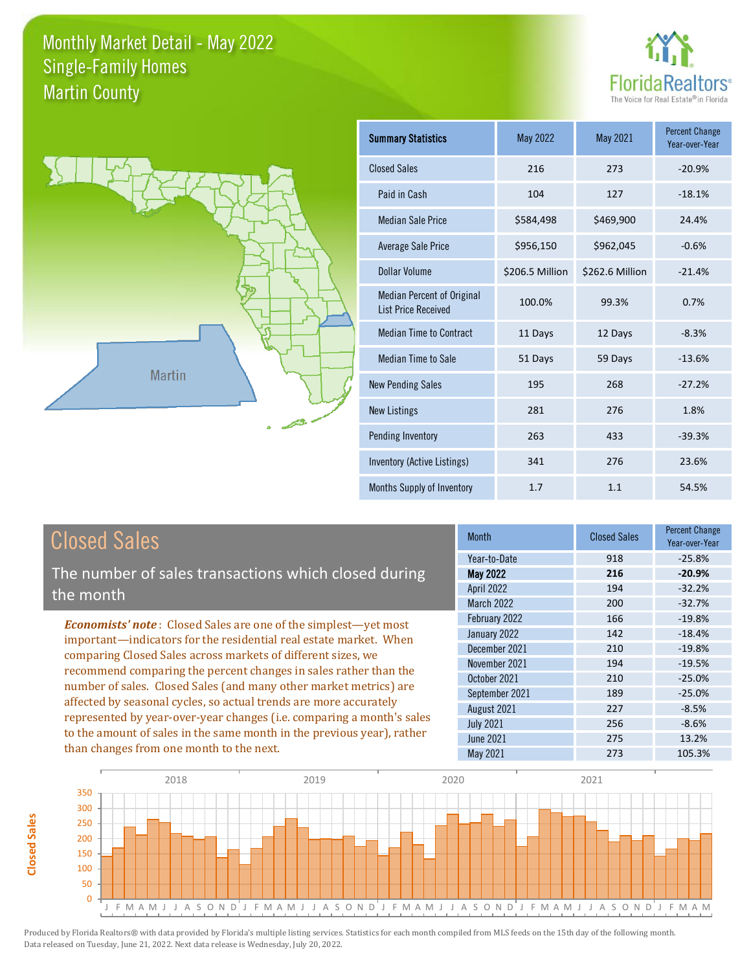



**Closed Sales**

**Closed Sales** 

| <b>Summary Statistics</b>                                       | May 2022        | May 2021        | <b>Percent Change</b><br>Year-over-Year |
|-----------------------------------------------------------------|-----------------|-----------------|-----------------------------------------|
| <b>Closed Sales</b>                                             | 216             | 273             | $-20.9%$                                |
| Paid in Cash                                                    | 104             | 127             | $-18.1%$                                |
| <b>Median Sale Price</b>                                        | \$584,498       | \$469,900       | 24.4%                                   |
| <b>Average Sale Price</b>                                       | \$956,150       | \$962,045       | $-0.6%$                                 |
| Dollar Volume                                                   | \$206.5 Million | \$262.6 Million | $-21.4%$                                |
| <b>Median Percent of Original</b><br><b>List Price Received</b> | 100.0%          | 99.3%           | 0.7%                                    |
| <b>Median Time to Contract</b>                                  | 11 Days         | 12 Days         | $-8.3%$                                 |
| <b>Median Time to Sale</b>                                      | 51 Days         | 59 Days         | $-13.6%$                                |
| <b>New Pending Sales</b>                                        | 195             | 268             | $-27.2%$                                |
| <b>New Listings</b>                                             | 281             | 276             | 1.8%                                    |
| Pending Inventory                                               | 263             | 433             | $-39.3%$                                |
| Inventory (Active Listings)                                     | 341             | 276             | 23.6%                                   |
| Months Supply of Inventory                                      | 1.7             | 1.1             | 54.5%                                   |

| <b>Closed Sales</b>                                                    | <b>Month</b>                    | <b>Closed Sales</b> | <b>Percent Change</b><br>Year-over-Year |
|------------------------------------------------------------------------|---------------------------------|---------------------|-----------------------------------------|
|                                                                        | Year-to-Date                    | 918                 | $-25.8%$                                |
| The number of sales transactions which closed during                   | <b>May 2022</b>                 | 216                 | $-20.9%$                                |
| the month                                                              | April 2022<br><b>March 2022</b> | 194<br>200          | $-32.2%$<br>$-32.7%$                    |
| <b>Economists' note:</b> Closed Sales are one of the simplest—yet most | February 2022                   | 166                 | $-19.8%$                                |
| important-indicators for the residential real estate market. When      | January 2022                    | 142                 | $-18.4%$                                |
| comparing Closed Sales across markets of different sizes, we           | December 2021                   | 210                 | $-19.8%$                                |
| recommend comparing the percent changes in sales rather than the       | November 2021                   | 194                 | $-19.5%$                                |
| number of sales. Closed Sales (and many other market metrics) are      | October 2021                    | 210                 | $-25.0%$                                |
| affected by seasonal cycles, so actual trends are more accurately      | September 2021                  | 189                 | $-25.0%$                                |
| represented by year-over-year changes (i.e. comparing a month's sales  | August 2021                     | 227                 | $-8.5%$                                 |
| to the amount of sales in the same month in the previous year), rather | <b>July 2021</b>                | 256                 | $-8.6%$                                 |
|                                                                        | June 2021                       | 275                 | 13.2%                                   |
| than changes from one month to the next.                               | May 2021                        | 273                 | 105.3%                                  |

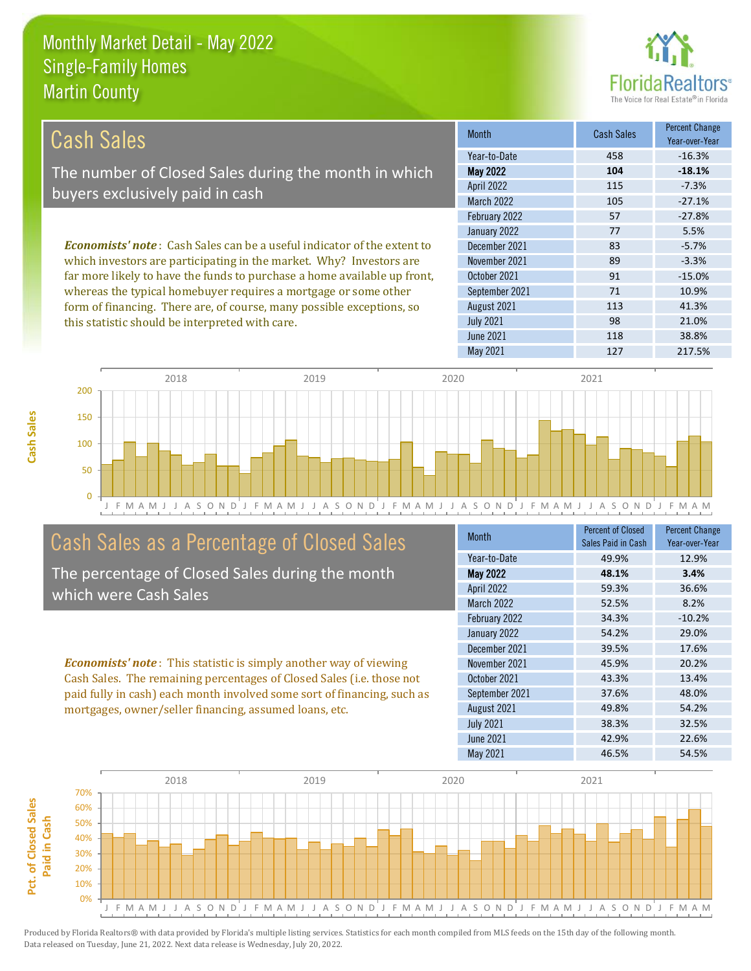this statistic should be interpreted with care.



98 21.0%

| <b>Cash Sales</b>                                                              | <b>Month</b>      | <b>Cash Sales</b> | <b>Percent Change</b><br>Year-over-Year |
|--------------------------------------------------------------------------------|-------------------|-------------------|-----------------------------------------|
|                                                                                | Year-to-Date      | 458               | $-16.3%$                                |
| The number of Closed Sales during the month in which                           | <b>May 2022</b>   | 104               | $-18.1%$                                |
| buyers exclusively paid in cash                                                | <b>April 2022</b> | 115               | $-7.3%$                                 |
|                                                                                | <b>March 2022</b> | 105               | $-27.1%$                                |
|                                                                                | February 2022     | 57                | $-27.8%$                                |
|                                                                                | January 2022      | 77                | 5.5%                                    |
| <b>Economists' note:</b> Cash Sales can be a useful indicator of the extent to | December 2021     | 83                | $-5.7%$                                 |
| which investors are participating in the market. Why? Investors are            | November 2021     | 89                | $-3.3%$                                 |
| far more likely to have the funds to purchase a home available up front,       | October 2021      | 91                | $-15.0%$                                |
| whereas the typical homebuyer requires a mortgage or some other                | September 2021    | 71                | 10.9%                                   |
| form of financing. There are, of course, many possible exceptions, so          | August 2021       | 113               | 41.3%                                   |

July 2021



# Cash Sales as a Percentage of Closed Sales

The percentage of Closed Sales during the month which were Cash Sales

*Economists' note* : This statistic is simply another way of viewing Cash Sales. The remaining percentages of Closed Sales (i.e. those not paid fully in cash) each month involved some sort of financing, such as mortgages, owner/seller financing, assumed loans, etc.

| Month             | Percent of Closed<br>Sales Paid in Cash | <b>Percent Change</b><br>Year-over-Year |
|-------------------|-----------------------------------------|-----------------------------------------|
| Year-to-Date      | 49.9%                                   | 12.9%                                   |
| <b>May 2022</b>   | 48.1%                                   | 3.4%                                    |
| April 2022        | 59.3%                                   | 36.6%                                   |
| <b>March 2022</b> | 52.5%                                   | 8.2%                                    |
| February 2022     | 34.3%                                   | $-10.2%$                                |
| January 2022      | 54.2%                                   | 29.0%                                   |
| December 2021     | 39.5%                                   | 17.6%                                   |
| November 2021     | 45.9%                                   | 20.2%                                   |
| October 2021      | 43.3%                                   | 13.4%                                   |
| September 2021    | 37.6%                                   | 48.0%                                   |
| August 2021       | 49.8%                                   | 54.2%                                   |
| <b>July 2021</b>  | 38.3%                                   | 32.5%                                   |
| June 2021         | 42.9%                                   | 22.6%                                   |
| May 2021          | 46.5%                                   | 54.5%                                   |

June 2021 118 38.8%

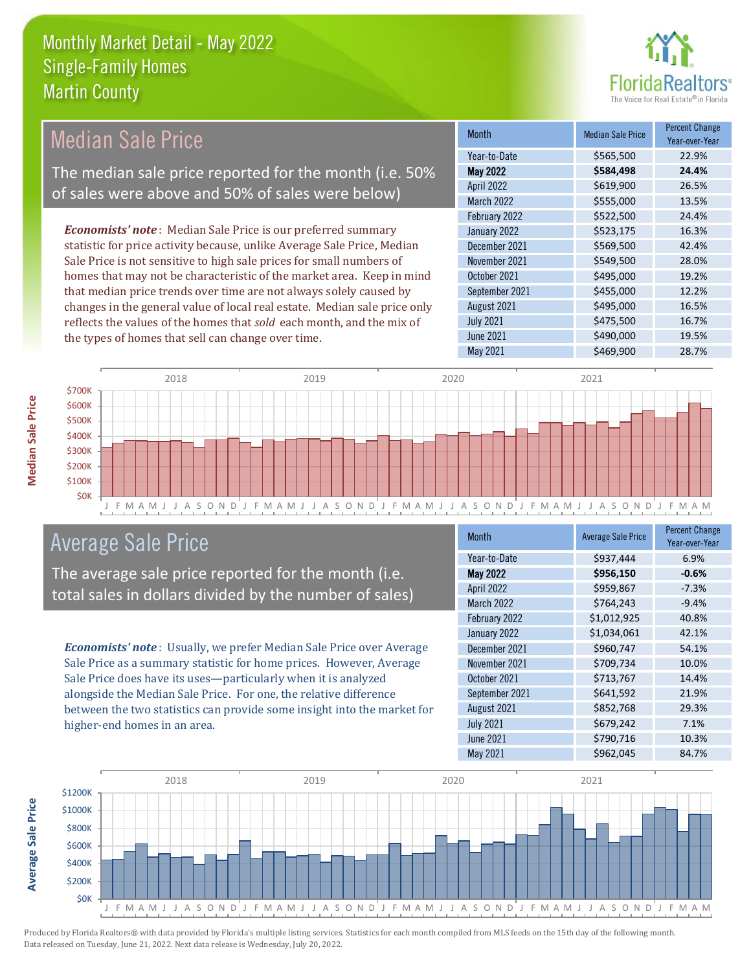

| <b>Median Sale Price</b>                                                  | <b>Month</b>      | <b>Median Sale Price</b> | <b>Percent Change</b><br>Year-over-Year |
|---------------------------------------------------------------------------|-------------------|--------------------------|-----------------------------------------|
|                                                                           | Year-to-Date      | \$565,500                | 22.9%                                   |
| The median sale price reported for the month (i.e. 50%                    | <b>May 2022</b>   | \$584,498                | 24.4%                                   |
| of sales were above and 50% of sales were below)                          | <b>April 2022</b> | \$619,900                | 26.5%                                   |
|                                                                           | March 2022        | \$555,000                | 13.5%                                   |
|                                                                           | February 2022     | \$522,500                | 24.4%                                   |
| <b>Economists' note</b> : Median Sale Price is our preferred summary      | January 2022      | \$523,175                | 16.3%                                   |
| statistic for price activity because, unlike Average Sale Price, Median   | December 2021     | \$569,500                | 42.4%                                   |
| Sale Price is not sensitive to high sale prices for small numbers of      | November 2021     | \$549,500                | 28.0%                                   |
| homes that may not be characteristic of the market area. Keep in mind     | October 2021      | \$495,000                | 19.2%                                   |
| that median price trends over time are not always solely caused by        | September 2021    | \$455,000                | 12.2%                                   |
| changes in the general value of local real estate. Median sale price only | August 2021       | \$495,000                | 16.5%                                   |
| reflects the values of the homes that sold each month, and the mix of     | <b>July 2021</b>  | \$475,500                | 16.7%                                   |
| the types of homes that sell can change over time.                        | June 2021         | \$490,000                | 19.5%                                   |
|                                                                           | May 2021          | \$469,900                | 28.7%                                   |



# Average Sale Price

The average sale price reported for the month (i.e. total sales in dollars divided by the number of sales)

*Economists' note* : Usually, we prefer Median Sale Price over Average Sale Price as a summary statistic for home prices. However, Average Sale Price does have its uses—particularly when it is analyzed alongside the Median Sale Price. For one, the relative difference between the two statistics can provide some insight into the market for higher-end homes in an area.

| Month             | <b>Average Sale Price</b> | <b>Percent Change</b><br>Year-over-Year |
|-------------------|---------------------------|-----------------------------------------|
| Year-to-Date      | \$937,444                 | 6.9%                                    |
| May 2022          | \$956,150                 | $-0.6%$                                 |
| April 2022        | \$959,867                 | $-7.3%$                                 |
| <b>March 2022</b> | \$764,243                 | $-9.4%$                                 |
| February 2022     | \$1,012,925               | 40.8%                                   |
| January 2022      | \$1,034,061               | 42.1%                                   |
| December 2021     | \$960,747                 | 54.1%                                   |
| November 2021     | \$709,734                 | 10.0%                                   |
| October 2021      | \$713,767                 | 14.4%                                   |
| September 2021    | \$641,592                 | 21.9%                                   |
| August 2021       | \$852,768                 | 29.3%                                   |
| <b>July 2021</b>  | \$679,242                 | 7.1%                                    |
| <b>June 2021</b>  | \$790,716                 | 10.3%                                   |
| May 2021          | \$962,045                 | 84.7%                                   |



**Average Sale Price**

**Average Sale Price**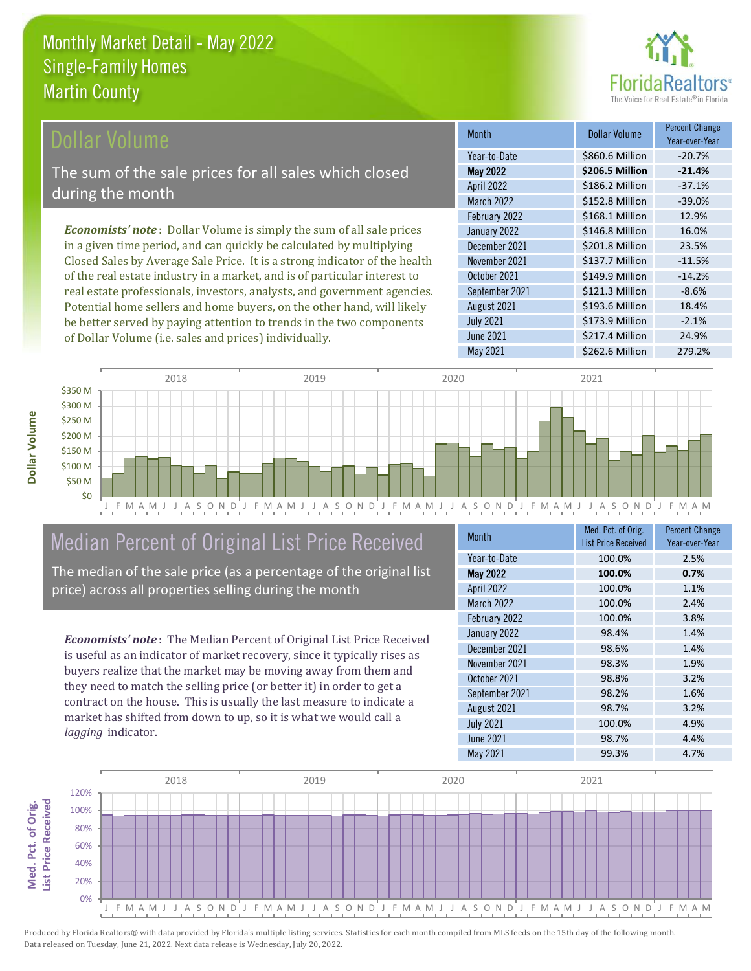

### Dollar Volume

The sum of the sale prices for all sales which closed during the month

*Economists' note* : Dollar Volume is simply the sum of all sale prices in a given time period, and can quickly be calculated by multiplying Closed Sales by Average Sale Price. It is a strong indicator of the health of the real estate industry in a market, and is of particular interest to real estate professionals, investors, analysts, and government agencies. Potential home sellers and home buyers, on the other hand, will likely be better served by paying attention to trends in the two components of Dollar Volume (i.e. sales and prices) individually.

| <b>Month</b>      | Dollar Volume   | <b>Percent Change</b><br>Year-over-Year |
|-------------------|-----------------|-----------------------------------------|
| Year-to-Date      | \$860.6 Million | $-20.7%$                                |
| <b>May 2022</b>   | \$206.5 Million | $-21.4%$                                |
| <b>April 2022</b> | \$186.2 Million | $-37.1%$                                |
| March 2022        | \$152.8 Million | $-39.0%$                                |
| February 2022     | \$168.1 Million | 12.9%                                   |
| January 2022      | \$146.8 Million | 16.0%                                   |
| December 2021     | \$201.8 Million | 23.5%                                   |
| November 2021     | \$137.7 Million | $-11.5%$                                |
| October 2021      | \$149.9 Million | $-14.2%$                                |
| September 2021    | \$121.3 Million | $-8.6%$                                 |
| August 2021       | \$193.6 Million | 18.4%                                   |
| <b>July 2021</b>  | \$173.9 Million | $-2.1%$                                 |
| <b>June 2021</b>  | \$217.4 Million | 24.9%                                   |
| May 2021          | \$262.6 Million | 279.2%                                  |



# Median Percent of Original List Price Received

The median of the sale price (as a percentage of the original list price) across all properties selling during the month

*Economists' note* : The Median Percent of Original List Price Received is useful as an indicator of market recovery, since it typically rises as buyers realize that the market may be moving away from them and they need to match the selling price (or better it) in order to get a contract on the house. This is usually the last measure to indicate a market has shifted from down to up, so it is what we would call a *lagging* indicator.

| <b>Month</b>      | Med. Pct. of Orig.<br><b>List Price Received</b> | <b>Percent Change</b><br>Year-over-Year |
|-------------------|--------------------------------------------------|-----------------------------------------|
| Year-to-Date      | 100.0%                                           | 2.5%                                    |
| May 2022          | 100.0%                                           | 0.7%                                    |
| April 2022        | 100.0%                                           | 1.1%                                    |
| <b>March 2022</b> | 100.0%                                           | 2.4%                                    |
| February 2022     | 100.0%                                           | 3.8%                                    |
| January 2022      | 98.4%                                            | 1.4%                                    |
| December 2021     | 98.6%                                            | 1.4%                                    |
| November 2021     | 98.3%                                            | 1.9%                                    |
| October 2021      | 98.8%                                            | 3.2%                                    |
| September 2021    | 98.2%                                            | 1.6%                                    |
| August 2021       | 98.7%                                            | 3.2%                                    |
| <b>July 2021</b>  | 100.0%                                           | 4.9%                                    |
| June 2021         | 98.7%                                            | 4.4%                                    |
| May 2021          | 99.3%                                            | 4.7%                                    |

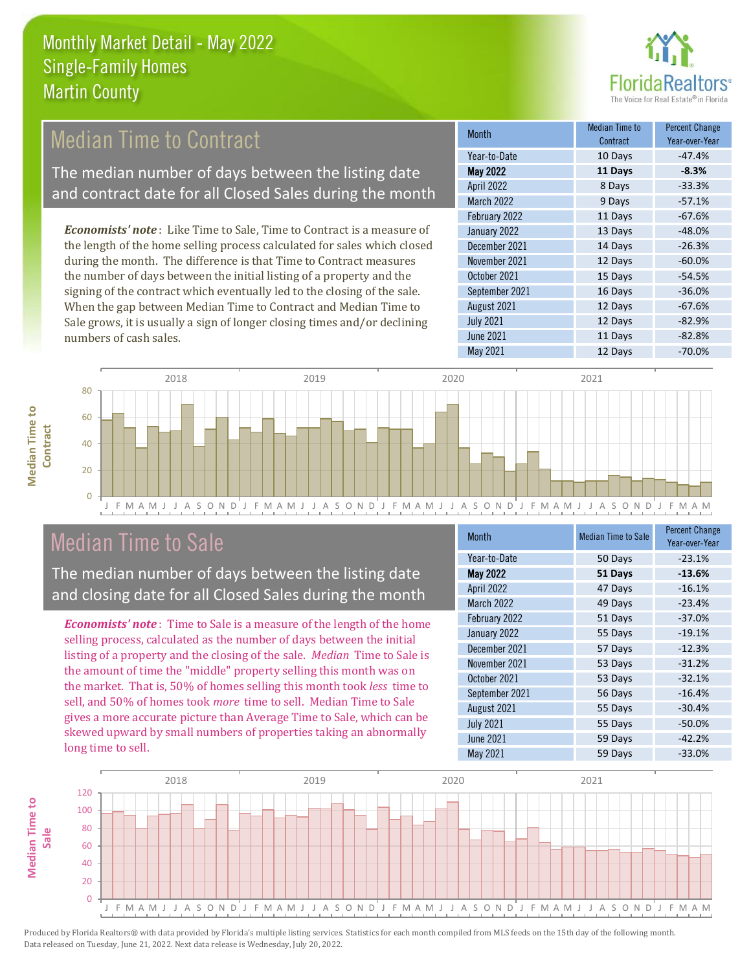

# Median Time to Contract

The median number of days between the listing date and contract date for all Closed Sales during the month

*Economists' note* : Like Time to Sale, Time to Contract is a measure of the length of the home selling process calculated for sales which closed during the month. The difference is that Time to Contract measures the number of days between the initial listing of a property and the signing of the contract which eventually led to the closing of the sale. When the gap between Median Time to Contract and Median Time to Sale grows, it is usually a sign of longer closing times and/or declining numbers of cash sales.

| Month            | Median Time to<br>Contract | <b>Percent Change</b><br>Year-over-Year |
|------------------|----------------------------|-----------------------------------------|
| Year-to-Date     | 10 Days                    | $-47.4%$                                |
| <b>May 2022</b>  | 11 Days                    | $-8.3%$                                 |
| April 2022       | 8 Days                     | $-33.3%$                                |
| March 2022       | 9 Days                     | $-57.1%$                                |
| February 2022    | 11 Days                    | $-67.6%$                                |
| January 2022     | 13 Days                    | $-48.0%$                                |
| December 2021    | 14 Days                    | $-26.3%$                                |
| November 2021    | 12 Days                    | $-60.0%$                                |
| October 2021     | 15 Days                    | $-54.5%$                                |
| September 2021   | 16 Days                    | $-36.0%$                                |
| August 2021      | 12 Days                    | $-67.6%$                                |
| <b>July 2021</b> | 12 Days                    | $-82.9%$                                |
| <b>June 2021</b> | 11 Days                    | $-82.8%$                                |
| May 2021         | 12 Days                    | $-70.0%$                                |



# Median Time to Sale

**Median Time to Contract**

**Median Time to** 

The median number of days between the listing date and closing date for all Closed Sales during the month

*Economists' note* : Time to Sale is a measure of the length of the home selling process, calculated as the number of days between the initial listing of a property and the closing of the sale. *Median* Time to Sale is the amount of time the "middle" property selling this month was on the market. That is, 50% of homes selling this month took *less* time to sell, and 50% of homes took *more* time to sell. Median Time to Sale gives a more accurate picture than Average Time to Sale, which can be skewed upward by small numbers of properties taking an abnormally long time to sell.

| <b>Month</b>      | <b>Median Time to Sale</b> | <b>Percent Change</b><br>Year-over-Year |
|-------------------|----------------------------|-----------------------------------------|
| Year-to-Date      | 50 Days                    | $-23.1%$                                |
| <b>May 2022</b>   | 51 Days                    | $-13.6%$                                |
| April 2022        | 47 Days                    | $-16.1%$                                |
| <b>March 2022</b> | 49 Days                    | $-23.4%$                                |
| February 2022     | 51 Days                    | $-37.0%$                                |
| January 2022      | 55 Days                    | $-19.1%$                                |
| December 2021     | 57 Days                    | $-12.3%$                                |
| November 2021     | 53 Days                    | $-31.2%$                                |
| October 2021      | 53 Days                    | $-32.1%$                                |
| September 2021    | 56 Days                    | $-16.4%$                                |
| August 2021       | 55 Days                    | $-30.4%$                                |
| <b>July 2021</b>  | 55 Days                    | $-50.0%$                                |
| <b>June 2021</b>  | 59 Days                    | $-42.2%$                                |
| May 2021          | 59 Days                    | $-33.0%$                                |

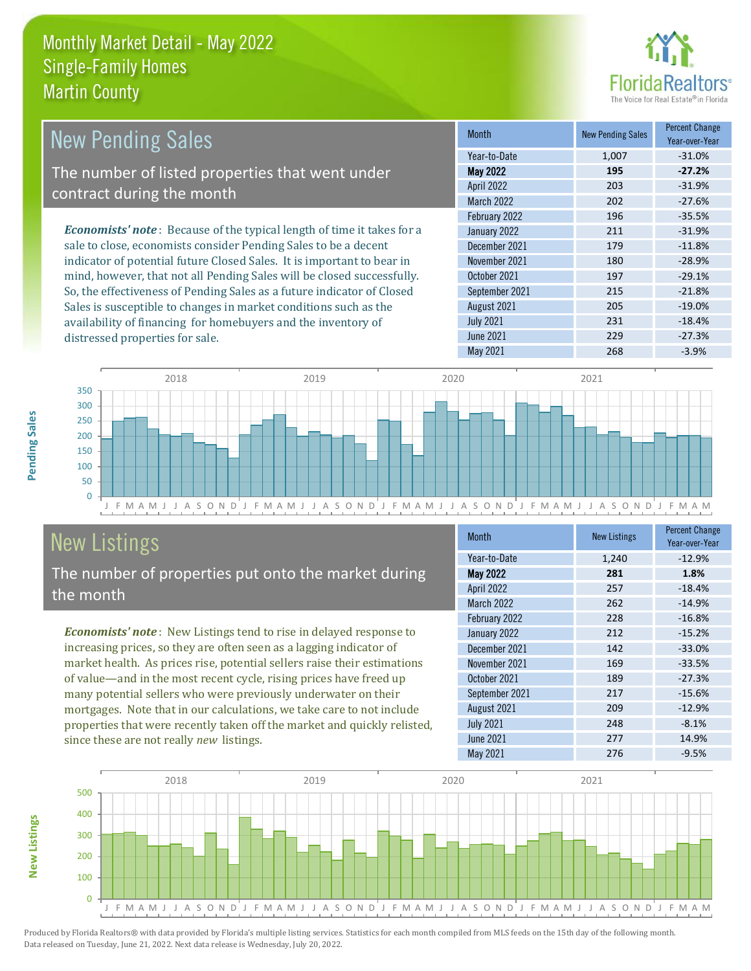distressed properties for sale.



| <b>New Pending Sales</b>                                                       | <b>Month</b>      | <b>New Pending Sales</b> | <b>Percent Change</b><br>Year-over-Year |
|--------------------------------------------------------------------------------|-------------------|--------------------------|-----------------------------------------|
|                                                                                | Year-to-Date      | 1.007                    | $-31.0%$                                |
| The number of listed properties that went under                                | <b>May 2022</b>   | 195                      | $-27.2%$                                |
| contract during the month                                                      | <b>April 2022</b> | 203                      | $-31.9%$                                |
|                                                                                | <b>March 2022</b> | 202                      | $-27.6%$                                |
|                                                                                | February 2022     | 196                      | $-35.5%$                                |
| <b>Economists' note</b> : Because of the typical length of time it takes for a | January 2022      | 211                      | $-31.9%$                                |
| sale to close, economists consider Pending Sales to be a decent                | December 2021     | 179                      | $-11.8%$                                |
| indicator of potential future Closed Sales. It is important to bear in         | November 2021     | 180                      | $-28.9%$                                |
| mind, however, that not all Pending Sales will be closed successfully.         | October 2021      | 197                      | $-29.1%$                                |
| So, the effectiveness of Pending Sales as a future indicator of Closed         | September 2021    | 215                      | $-21.8%$                                |
| Sales is susceptible to changes in market conditions such as the               | August 2021       | 205                      | $-19.0\%$                               |

J F M A M J J A S O N D J F M A M J J A S O N D J F M A M J J A S O N D J F M A M J J A S O N D J F M A M  $\Omega$ 50 100 150 200 250 300 350 2018 2019 2020 2021

# New Listings

The number of properties put onto the market during the month

availability of financing for homebuyers and the inventory of

*Economists' note* : New Listings tend to rise in delayed response to increasing prices, so they are often seen as a lagging indicator of market health. As prices rise, potential sellers raise their estimations of value—and in the most recent cycle, rising prices have freed up many potential sellers who were previously underwater on their mortgages. Note that in our calculations, we take care to not include properties that were recently taken off the market and quickly relisted, since these are not really *new* listings.

| <b>Month</b>      | <b>New Listings</b> | <b>Percent Change</b><br>Year-over-Year |
|-------------------|---------------------|-----------------------------------------|
| Year-to-Date      | 1,240               | $-12.9%$                                |
| <b>May 2022</b>   | 281                 | 1.8%                                    |
| <b>April 2022</b> | 257                 | $-18.4%$                                |
| <b>March 2022</b> | 262                 | $-14.9%$                                |
| February 2022     | 228                 | $-16.8%$                                |
| January 2022      | 212                 | $-15.2%$                                |
| December 2021     | 142                 | $-33.0%$                                |
| November 2021     | 169                 | $-33.5%$                                |
| October 2021      | 189                 | $-27.3%$                                |
| September 2021    | 217                 | $-15.6%$                                |
| August 2021       | 209                 | $-12.9%$                                |
| <b>July 2021</b>  | 248                 | $-8.1%$                                 |
| June 2021         | 277                 | 14.9%                                   |
| May 2021          | 276                 | $-9.5%$                                 |

July 2021 231 -18.4% June 2021 229 229 -27.3% May 2021 268 -3.9%



Produced by Florida Realtors® with data provided by Florida's multiple listing services. Statistics for each month compiled from MLS feeds on the 15th day of the following month. Data released on Tuesday, June 21, 2022. Next data release is Wednesday, July 20, 2022.

**New Listings**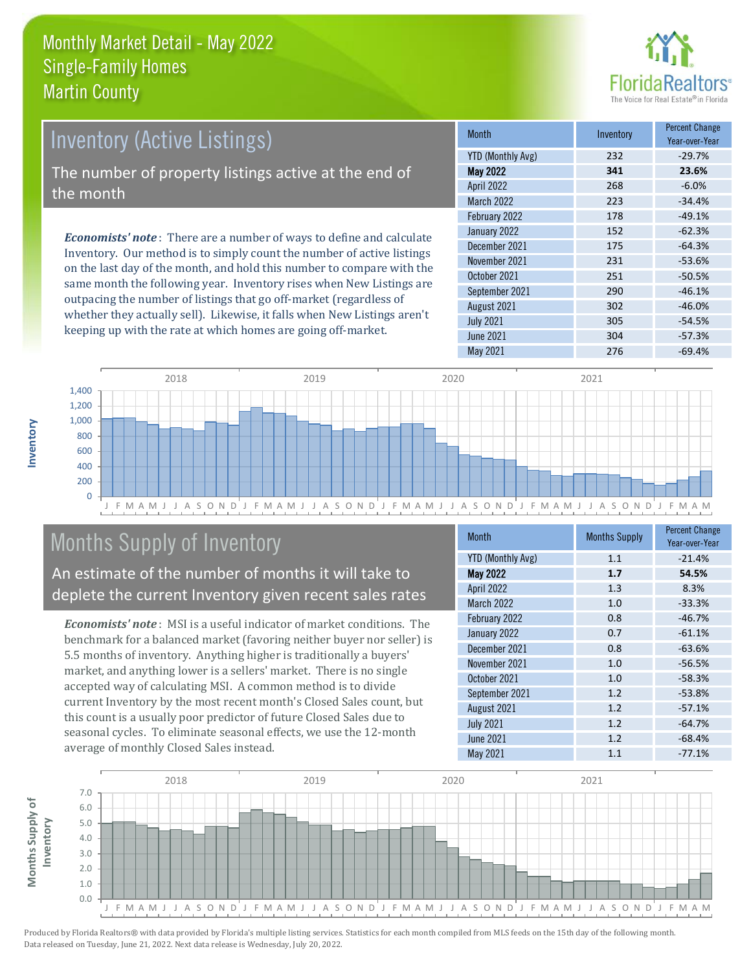

# Inventory (Active Listings) The number of property listings active at the end of the month

*Economists' note* : There are a number of ways to define and calculate Inventory. Our method is to simply count the number of active listings on the last day of the month, and hold this number to compare with the same month the following year. Inventory rises when New Listings are outpacing the number of listings that go off-market (regardless of whether they actually sell). Likewise, it falls when New Listings aren't keeping up with the rate at which homes are going off-market.

| <b>Month</b>             | Inventory | <b>Percent Change</b><br>Year-over-Year |  |  |
|--------------------------|-----------|-----------------------------------------|--|--|
| <b>YTD (Monthly Avg)</b> | 232       | $-29.7%$                                |  |  |
| <b>May 2022</b>          | 341       | 23.6%                                   |  |  |
| April 2022               | 268       | $-6.0%$                                 |  |  |
| <b>March 2022</b>        | 223       | $-34.4%$                                |  |  |
| February 2022            | 178       | $-49.1%$                                |  |  |
| January 2022             | 152       | $-62.3%$                                |  |  |
| December 2021            | 175       | $-64.3%$                                |  |  |
| November 2021            | 231       | $-53.6%$                                |  |  |
| October 2021             | 251       | $-50.5%$                                |  |  |
| September 2021           | 290       | $-46.1%$                                |  |  |
| August 2021              | 302       | $-46.0%$                                |  |  |
| <b>July 2021</b>         | 305       | $-54.5%$                                |  |  |
| June 2021                | 304       | $-57.3%$                                |  |  |
| May 2021                 | 276       | $-69.4%$                                |  |  |



# Months Supply of Inventory

An estimate of the number of months it will take to deplete the current Inventory given recent sales rates

*Economists' note* : MSI is a useful indicator of market conditions. The benchmark for a balanced market (favoring neither buyer nor seller) is 5.5 months of inventory. Anything higher is traditionally a buyers' market, and anything lower is a sellers' market. There is no single accepted way of calculating MSI. A common method is to divide current Inventory by the most recent month's Closed Sales count, but this count is a usually poor predictor of future Closed Sales due to seasonal cycles. To eliminate seasonal effects, we use the 12-month average of monthly Closed Sales instead.

| <b>Month</b>             | <b>Months Supply</b> | <b>Percent Change</b><br>Year-over-Year |  |
|--------------------------|----------------------|-----------------------------------------|--|
| <b>YTD (Monthly Avg)</b> | 1.1                  | $-21.4%$                                |  |
| May 2022                 | 1.7                  | 54.5%                                   |  |
| April 2022               | 1.3                  | 8.3%                                    |  |
| March 2022               | 1.0                  | $-33.3%$                                |  |
| February 2022            | 0.8                  | $-46.7%$                                |  |
| January 2022             | 0.7                  | $-61.1%$                                |  |
| December 2021            | 0.8                  | $-63.6%$                                |  |
| November 2021            | 1.0                  | $-56.5%$                                |  |
| October 2021             | 1.0                  | $-58.3%$                                |  |
| September 2021           | 1.2                  | $-53.8%$                                |  |
| August 2021              | 1.2                  | $-57.1%$                                |  |
| <b>July 2021</b>         | 1.2                  | $-64.7%$                                |  |
| <b>June 2021</b>         | 1.2                  | $-68.4%$                                |  |
| May 2021                 | 1.1                  | $-77.1%$                                |  |

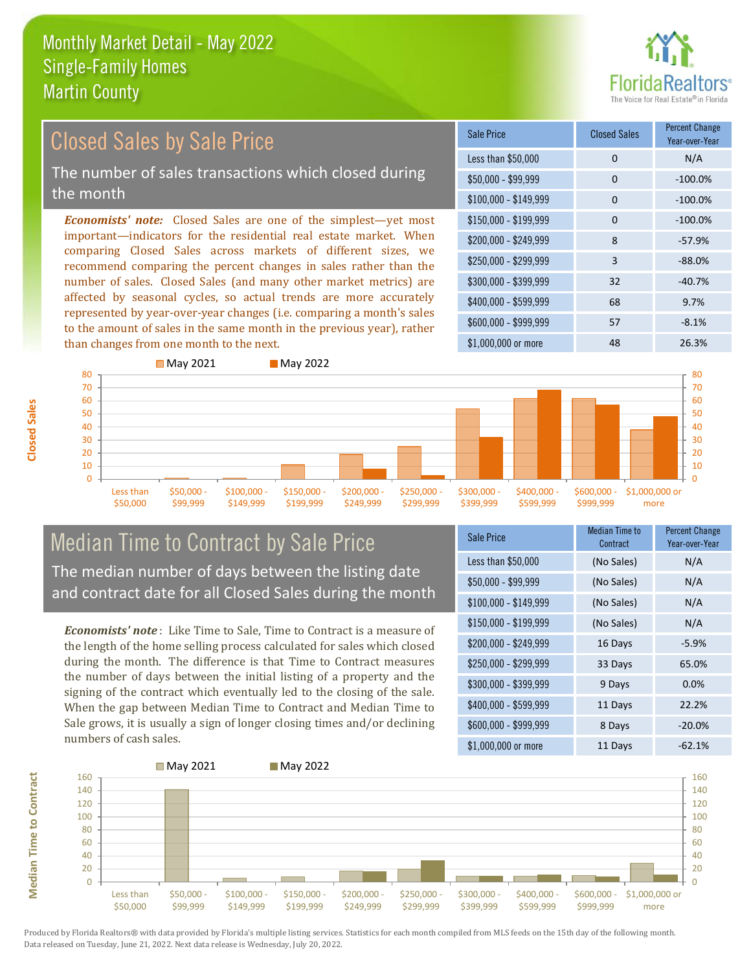than changes from one month to the next.



#### *Economists' note:* Closed Sales are one of the simplest—yet most important—indicators for the residential real estate market. When comparing Closed Sales across markets of different sizes, we recommend comparing the percent changes in sales rather than the number of sales. Closed Sales (and many other market metrics) are affected by seasonal cycles, so actual trends are more accurately represented by year-over-year changes (i.e. comparing a month's sales  $$250,000 - $299,999$  3 -88.0% \$300,000 - \$399,999 32 -40.7% \$400,000 - \$599,999 68 9.7% \$600,000 - \$999,999 57 -8.1% \$150,000 - \$199,999 0 -100.0% \$200,000 - \$249,999 8 -57.9% \$100,000 - \$149,999 0 -100.0% Sale Price Closed Sales Percent Change Year-over-Year Less than \$50,000 0 0 N/A  $$50.000 - $99.999$  0  $-100.0\%$ Closed Sales by Sale Price The number of sales transactions which closed during the month

 $\Omega$ 10 20 30 40 50 60 70 80 Less than \$50,000 \$50,000 - \$99,999 \$100,000 - \$149,999 \$150,000 - \$199,999 \$200,000 - \$249,999 \$250,000 - \$299,999 \$300,000 - \$399,999 \$400,000 - \$599,999 \$600,000 - \$999,999 \$1,000,000 or more **May 2021** May 2022  $\Omega$ 10 20 30 40 50 60 70 80

### Median Time to Contract by Sale Price The median number of days between the listing date and contract date for all Closed Sales during the month

to the amount of sales in the same month in the previous year), rather

*Economists' note* : Like Time to Sale, Time to Contract is a measure of the length of the home selling process calculated for sales which closed during the month. The difference is that Time to Contract measures the number of days between the initial listing of a property and the signing of the contract which eventually led to the closing of the sale. When the gap between Median Time to Contract and Median Time to Sale grows, it is usually a sign of longer closing times and/or declining numbers of cash sales.

| Sale Price            | Median Time to<br>Contract | <b>Percent Change</b><br>Year-over-Year |
|-----------------------|----------------------------|-----------------------------------------|
| Less than \$50,000    | (No Sales)                 | N/A                                     |
| $$50,000 - $99,999$   | (No Sales)                 | N/A                                     |
| $$100,000 - $149,999$ | (No Sales)                 | N/A                                     |
| $$150,000 - $199,999$ | (No Sales)                 | N/A                                     |
| \$200,000 - \$249,999 | 16 Days                    | $-5.9%$                                 |
| \$250,000 - \$299,999 | 33 Days                    | 65.0%                                   |
| \$300,000 - \$399,999 | 9 Days                     | 0.0%                                    |
| \$400,000 - \$599,999 | 11 Days                    | 22.2%                                   |
| \$600,000 - \$999,999 | 8 Days                     | $-20.0%$                                |
| \$1,000,000 or more   | 11 Days                    | -62.1%                                  |

\$1,000,000 or more 48 26.3%



**Closed Sales**

**Median Time to Contract Median Time to Contract**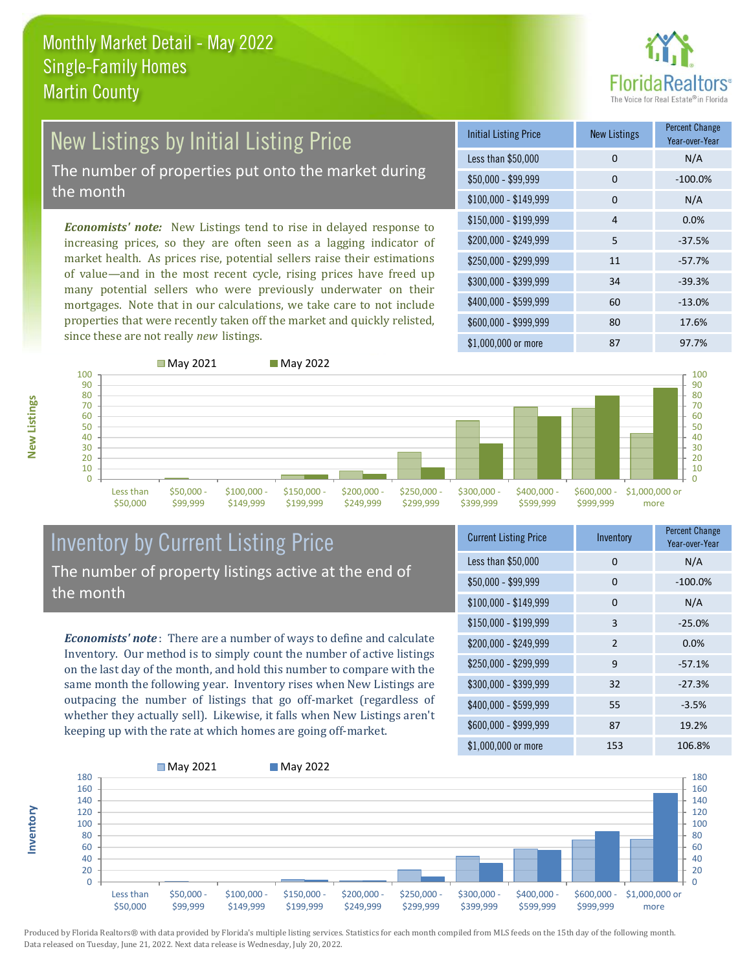

# New Listings by Initial Listing Price

The number of properties put onto the market during the month

*Economists' note:* New Listings tend to rise in delayed response to increasing prices, so they are often seen as a lagging indicator of market health. As prices rise, potential sellers raise their estimations of value—and in the most recent cycle, rising prices have freed up many potential sellers who were previously underwater on their mortgages. Note that in our calculations, we take care to not include properties that were recently taken off the market and quickly relisted, since these are not really *new* listings.

 $M<sub>0</sub>$ , 2021 May 2022

| <b>Initial Listing Price</b> | <b>New Listings</b> | <b>Percent Change</b><br>Year-over-Year |
|------------------------------|---------------------|-----------------------------------------|
| Less than \$50,000           | 0                   | N/A                                     |
| $$50,000 - $99,999$          | 0                   | $-100.0%$                               |
| $$100,000 - $149,999$        | 0                   | N/A                                     |
| \$150,000 - \$199,999        | 4                   | 0.0%                                    |
| \$200,000 - \$249,999        | 5                   | $-37.5%$                                |
| \$250,000 - \$299,999        | 11                  | $-57.7%$                                |
| \$300,000 - \$399,999        | 34                  | $-39.3%$                                |
| \$400,000 - \$599,999        | 60                  | $-13.0%$                                |
| \$600,000 - \$999,999        | 80                  | 17.6%                                   |
| \$1,000,000 or more          | 87                  | 97.7%                                   |



**Inventory**

|     |           | $\Box$ ividy $2021$ |              | $\Box$ ividy 2022 |              |              |              |              |              |                |
|-----|-----------|---------------------|--------------|-------------------|--------------|--------------|--------------|--------------|--------------|----------------|
| 100 |           |                     |              |                   |              |              |              |              |              | 100            |
| 90  |           |                     |              |                   |              |              |              |              |              | 90             |
| 80  |           |                     |              |                   |              |              |              |              |              | 80             |
| 70  |           |                     |              |                   |              |              |              |              |              | 70             |
| 60  |           |                     |              |                   |              |              |              |              |              | 60             |
| 50  |           |                     |              |                   |              |              |              |              |              | 50             |
| 40  |           |                     |              |                   |              |              |              |              |              | 40             |
| 30  |           |                     |              |                   |              |              |              |              |              | 30             |
| 20  |           |                     |              |                   |              |              |              |              |              | 20             |
|     |           |                     |              |                   |              |              |              |              |              |                |
| 10  |           |                     |              |                   |              |              |              |              |              | 10             |
| 0   |           |                     |              |                   |              |              |              |              |              |                |
|     | Less than | $$50,000 -$         | $$100,000 -$ | $$150,000 -$      | $$200,000 -$ | $$250,000 -$ | $$300,000 -$ | $$400,000 -$ | $$600,000 -$ | \$1,000,000 or |
|     | \$50,000  | \$99,999            | \$149,999    | \$199,999         | \$249,999    | \$299,999    | \$399,999    | \$599,999    | \$999,999    | more           |
|     |           |                     |              |                   |              |              |              |              |              |                |

#### Inventory by Current Listing Price The number of property listings active at the end of the month

*Economists' note* : There are a number of ways to define and calculate Inventory. Our method is to simply count the number of active listings on the last day of the month, and hold this number to compare with the same month the following year. Inventory rises when New Listings are outpacing the number of listings that go off-market (regardless of whether they actually sell). Likewise, it falls when New Listings aren't keeping up with the rate at which homes are going off-market.

| <b>Current Listing Price</b> | Inventory      | <b>Percent Change</b><br>Year-over-Year |
|------------------------------|----------------|-----------------------------------------|
| Less than \$50,000           | 0              | N/A                                     |
| \$50,000 - \$99,999          | 0              | $-100.0%$                               |
| $$100,000 - $149,999$        | 0              | N/A                                     |
| $$150,000 - $199,999$        | 3              | $-25.0%$                                |
| \$200,000 - \$249,999        | $\mathfrak{p}$ | 0.0%                                    |
| \$250,000 - \$299,999        | 9              | $-57.1%$                                |
| \$300,000 - \$399,999        | 32             | $-27.3%$                                |
| \$400,000 - \$599,999        | 55             | $-3.5%$                                 |
| \$600,000 - \$999,999        | 87             | 19.2%                                   |
| \$1,000,000 or more          | 153            | 106.8%                                  |